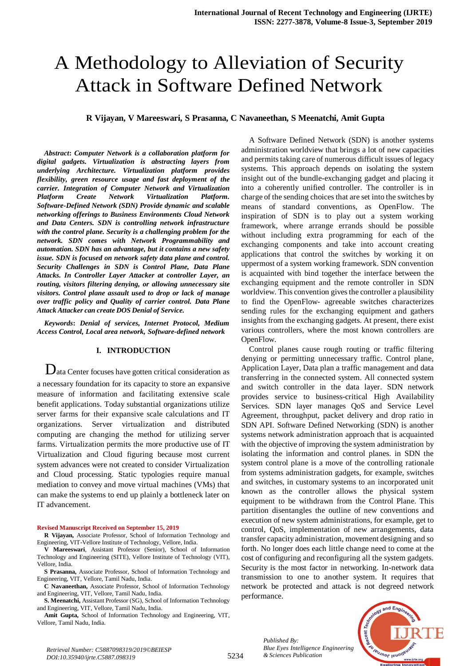# A Methodology to Alleviation of Security Attack in Software Defined Network

**R Vijayan, V Mareeswari, S Prasanna, C Navaneethan, S Meenatchi, Amit Gupta**

*Abstract***:** *Computer Network is a collaboration platform for digital gadgets. Virtualization is abstracting layers from underlying Architecture. Virtualization platform provides flexibility, green resource usage and fast deployment of the carrier. Integration of Computer Network and Virtualization Platform Create Network Virtualization Platform. Software-Defined Network (SDN) Provide dynamic and scalable networking offerings to Business Environments Cloud Network and Data Centers. SDN is controlling network infrastructure with the control plane. Security is a challenging problem for the network. SDN comes with Network Programmability and automation. SDN has an advantage, but it contains a new safety issue. SDN is focused on network safety data plane and control. Security Challenges in SDN is Control Plane, Data Plane Attacks. In Controller Layer Attacker at controller Layer, an routing, visitors filtering denying, or allowing unnecessary site visitors. Control plane assault used to drop or lack of manage over traffic policy and Quality of carrier control. Data Plane Attack Attacker can create DOS Denial of Service.*

*Keywords***:** *Denial of services, Internet Protocol, Medium Access Control, Local area network, Software-defined network*

#### **I. INTRODUCTION**

Data Center focuses have gotten critical consideration as a necessary foundation for its capacity to store an expansive measure of information and facilitating extensive scale benefit applications. Today substantial organizations utilize server farms for their expansive scale calculations and IT organizations. Server virtualization and distributed computing are changing the method for utilizing server farms. Virtualization permits the more productive use of IT Virtualization and Cloud figuring because most current system advances were not created to consider Virtualization and Cloud processing. Static typologies require manual mediation to convey and move virtual machines (VMs) that can make the systems to end up plainly a bottleneck later on IT advancement.

**Revised Manuscript Received on September 15, 2019**

**R Vijayan,** Associate Professor, School of Information Technology and Engineering, VIT-Vellore Institute of Technology, Vellore, India.

**V Mareeswari**, Assistant Professor (Senior), School of Information Technology and Engineering (SITE), Vellore Institute of Technology (VIT), Vellore, India.

**S Prasanna,** Associate Professor, School of Information Technology and Engineering, VIT, Vellore, Tamil Nadu, India.

**C Navaneethan,** Associate Professor, School of Information Technology and Engineering, VIT, Vellore, Tamil Nadu, India.

**S. Meenatchi,** Assistant Professor (SG), School of Information Technology and Engineering, VIT, Vellore, Tamil Nadu, India.

**Amit Gupta,** School of Information Technology and Engineering, VIT, Vellore, Tamil Nadu, India.

A Software Defined Network (SDN) is another systems administration worldview that brings a lot of new capacities and permits taking care of numerous difficult issues of legacy systems. This approach depends on isolating the system insight out of the bundle-exchanging gadget and placing it into a coherently unified controller. The controller is in charge of the sending choices that are set into the switches by means of standard conventions, as OpenFlow. The inspiration of SDN is to play out a system working framework, where arrange errands should be possible without including extra programming for each of the exchanging components and take into account creating applications that control the switches by working it on uppermost of a system working framework. SDN convention is acquainted with bind together the interface between the exchanging equipment and the remote controller in SDN worldview. This convention gives the controller a plausibility to find the OpenFlow- agreeable switches characterizes sending rules for the exchanging equipment and gathers insights from the exchanging gadgets. At present, there exist various controllers, where the most known controllers are OpenFlow.

Control planes cause rough routing or traffic filtering denying or permitting unnecessary traffic. Control plane, Application Layer, Data plan a traffic management and data transferring in the connected system. All connected system and switch controller in the data layer. SDN network provides service to business-critical High Availability Services. SDN layer manages QoS and Service Level Agreement, throughput, packet delivery and drop ratio in SDN API. Software Defined Networking (SDN) is another systems network administration approach that is acquainted with the objective of improving the system administration by isolating the information and control planes. in SDN the system control plane is a move of the controlling rationale from systems administration gadgets, for example, switches and switches, in customary systems to an incorporated unit known as the controller allows the physical system equipment to be withdrawn from the Control Plane. This partition disentangles the outline of new conventions and execution of new system administrations, for example, get to control, QoS, implementation of new arrangements, data transfer capacity administration, movement designing and so forth. No longer does each little change need to come at the cost of configuring and reconfiguring all the system gadgets. Security is the most factor in networking. In-network data transmission to one to another system. It requires that network be protected and attack is not degreed network performance.



*Published By: Blue Eyes Intelligence Engineering & Sciences Publication* 

5234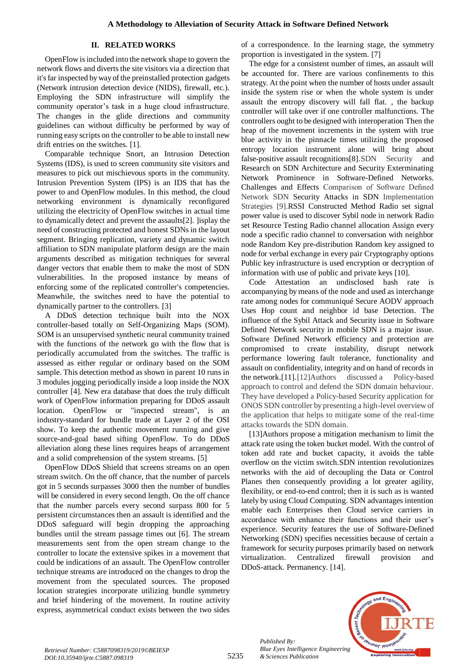### **II. RELATED WORKS**

OpenFlow is included into the network shape to govern the network flows and diverts the site visitors via a direction that it's far inspected by way of the preinstalled protection gadgets (Network intrusion detection device (NIDS), firewall, etc.). Employing the SDN infrastructure will simplify the community operator's task in a huge cloud infrastructure. The changes in the glide directions and community guidelines can without difficulty be performed by way of running easy scripts on the controller to be able to install new drift entries on the switches. [1].

Comparable technique Snort, an Intrusion Detection Systems (IDS), is used to screen community site visitors and measures to pick out mischievous sports in the community. Intrusion Prevention System (IPS) is an IDS that has the power to and OpenFlow modules. In this method, the cloud networking environment is dynamically reconfigured utilizing the electricity of OpenFlow switches in actual time to dynamically detect and prevent the assaults[2]. ]isplay the need of constructing protected and honest SDNs in the layout segment. Bringing replication, variety and dynamic switch affiliation to SDN manipulate platform design are the main arguments described as mitigation techniques for several danger vectors that enable them to make the most of SDN vulnerabilities. In the proposed instance by means of enforcing some of the replicated controller's competencies. Meanwhile, the switches need to have the potential to dynamically partner to the controllers. [3]

A DDoS detection technique built into the NOX controller-based totally on Self-Organizing Maps (SOM). SOM is an unsupervised synthetic neural community trained with the functions of the network go with the flow that is periodically accumulated from the switches. The traffic is assessed as either regular or ordinary based on the SOM sample. This detection method as shown in parent 10 runs in 3 modules jogging periodically inside a loop inside the NOX controller [4]. New era database that does the truly difficult work of OpenFlow information preparing for DDoS assault location. OpenFlow or "inspected stream", is an industry-standard for bundle trade at Layer 2 of the OSI show. To keep the authentic movement running and give source-and-goal based sifting OpenFlow. To do DDoS alleviation along these lines requires heaps of arrangement and a solid comprehension of the system streams. [5]

OpenFlow DDoS Shield that screens streams on an open stream switch. On the off chance, that the number of parcels got in 5 seconds surpasses 3000 then the number of bundles will be considered in every second length. On the off chance that the number parcels every second surpass 800 for 5 persistent circumstances then an assault is identified and the DDoS safeguard will begin dropping the approaching bundles until the stream passage times out [6]. The stream measurements sent from the open stream change to the controller to locate the extensive spikes in a movement that could be indications of an assault. The OpenFlow controller technique streams are introduced on the changes to drop the movement from the speculated sources. The proposed location strategies incorporate utilizing bundle symmetry and brief hindering of the movement. In routine activity express, asymmetrical conduct exists between the two sides of a correspondence. In the learning stage, the symmetry proportion is investigated in the system. [7]

The edge for a consistent number of times, an assault will be accounted for. There are various confinements to this strategy. At the point when the number of hosts under assault inside the system rise or when the whole system is under assault the entropy discovery will fall flat. , the backup controller will take over if one controller malfunctions. The controllers ought to be designed with interoperation Then the heap of the movement increments in the system with true blue activity in the pinnacle times utilizing the proposed entropy location instrument alone will bring about false-positive assault recognitions[8].SDN Security and Research on SDN Architecture and Security Exterminating Network Prominence in Software-Defined Networks. Challenges and Effects Comparison of Software Defined Network SDN Security Attacks in SDN Implementation Strategies [9].RSSI Constructed Method Radio set signal power value is used to discover Sybil node in network Radio set Resource Testing Radio channel allocation Assign every node a specific radio channel to conversation with neighbor node Random Key pre-distribution Random key assigned to node for verbal exchange in every pair Cryptography options Public key infrastructure is used encryption or decryption of information with use of public and private keys [10].

Code Attestation an undisclosed hash rate is accompanying by means of the node and used as interchange rate among nodes for communiqué Secure AODV approach Uses Hop count and neighbor id base Detection. The influence of the Sybil Attack and Security issue in Software Defined Network security in mobile SDN is a major issue. Software Defined Network efficiency and protection are compromised to create instability, disrupt network performance lowering fault tolerance, functionality and assault on confidentiality, integrity and on hand of records in the network.[11].[12]Authors discussed a Policy-based approach to control and defend the SDN domain behaviour. They have developed a Policy-based Security application for ONOS SDN controller by presenting a high-level overview of the application that helps to mitigate some of the real-time attacks towards the SDN domain.

[13]Authors propose a mitigation mechanism to limit the attack rate using the token bucket model. With the control of token add rate and bucket capacity, it avoids the table overflow on the victim switch.SDN intention revolutionizes networks with the aid of decoupling the Data or Control Planes then consequently providing a lot greater agility, flexibility, or end-to-end control; then it is such as is wanted lately by using Cloud Computing. SDN advantages intention enable each Enterprises then Cloud service carriers in accordance with enhance their functions and their user's experience. Security features the use of Software-Defined Networking (SDN) specifies necessities because of certain a framework for security purposes primarily based on network virtualization. Centralized firewall provision and DDoS-attack. Permanency. [14].



*Retrieval Number: C5887098319/2019©BEIESP DOI:10.35940/ijrte.C5887.098319*

*Published By:*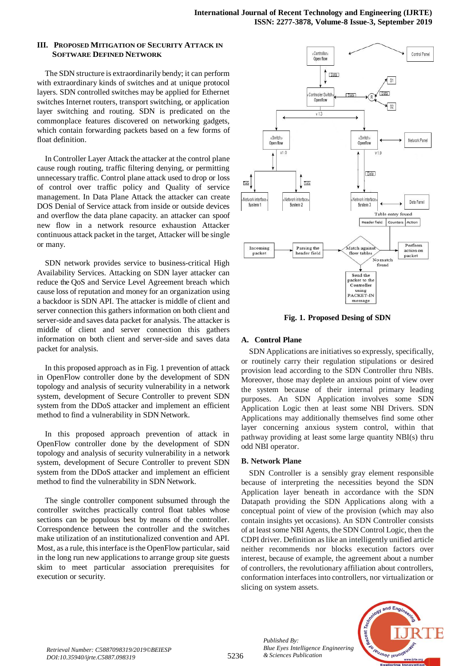### **III. PROPOSED MITIGATION OF SECURITY ATTACK IN SOFTWARE DEFINED NETWORK**

The SDN structure is extraordinarily bendy; it can perform with extraordinary kinds of switches and at unique protocol layers. SDN controlled switches may be applied for Ethernet switches Internet routers, transport switching, or application layer switching and routing. SDN is predicated on the commonplace features discovered on networking gadgets, which contain forwarding packets based on a few forms of float definition.

In Controller Layer Attack the attacker at the control plane cause rough routing, traffic filtering denying, or permitting unnecessary traffic. Control plane attack used to drop or loss of control over traffic policy and Quality of service management. In Data Plane Attack the attacker can create DOS Denial of Service attack from inside or outside devices and overflow the data plane capacity. an attacker can spoof new flow in a network resource exhaustion Attacker continuous attack packet in the target, Attacker will be single or many.

SDN network provides service to business-critical High Availability Services. Attacking on SDN layer attacker can reduce the QoS and Service Level Agreement breach which cause loss of reputation and money for an organization using a backdoor is SDN API. The attacker is middle of client and server connection this gathers information on both client and server-side and saves data packet for analysis. The attacker is middle of client and server connection this gathers information on both client and server-side and saves data packet for analysis.

In this proposed approach as in Fig. 1 prevention of attack in OpenFlow controller done by the development of SDN topology and analysis of security vulnerability in a network system, development of Secure Controller to prevent SDN system from the DDoS attacker and implement an efficient method to find a vulnerability in SDN Network.

In this proposed approach prevention of attack in OpenFlow controller done by the development of SDN topology and analysis of security vulnerability in a network system, development of Secure Controller to prevent SDN system from the DDoS attacker and implement an efficient method to find the vulnerability in SDN Network.

The single controller component subsumed through the controller switches practically control float tables whose sections can be populous best by means of the controller. Correspondence between the controller and the switches make utilization of an institutionalized convention and API. Most, as a rule, this interface is the OpenFlow particular, said in the long run new applications to arrange group site guests skim to meet particular association prerequisites for execution or security.



**Fig. 1. Proposed Desing of SDN**

# **A. Control Plane**

SDN Applications are initiatives so expressly, specifically, or routinely carry their regulation stipulations or desired provision lead according to the SDN Controller thru NBIs. Moreover, those may deplete an anxious point of view over the system because of their internal primary leading purposes. An SDN Application involves some SDN Application Logic then at least some NBI Drivers. SDN Applications may additionally themselves find some other layer concerning anxious system control, within that pathway providing at least some large quantity NBI(s) thru odd NBI operator.

### **B. Network Plane**

*Published By:*

*& Sciences Publication* 

SDN Controller is a sensibly gray element responsible because of interpreting the necessities beyond the SDN Application layer beneath in accordance with the SDN Datapath providing the SDN Applications along with a conceptual point of view of the provision (which may also contain insights yet occasions). An SDN Controller consists of at least some NBI Agents, the SDN Control Logic, then the CDPI driver. Definition as like an intelligently unified article neither recommends nor blocks execution factors over interest, because of example, the agreement about a number of controllers, the revolutionary affiliation about controllers, conformation interfaces into controllers, nor virtualization or slicing on system assets.

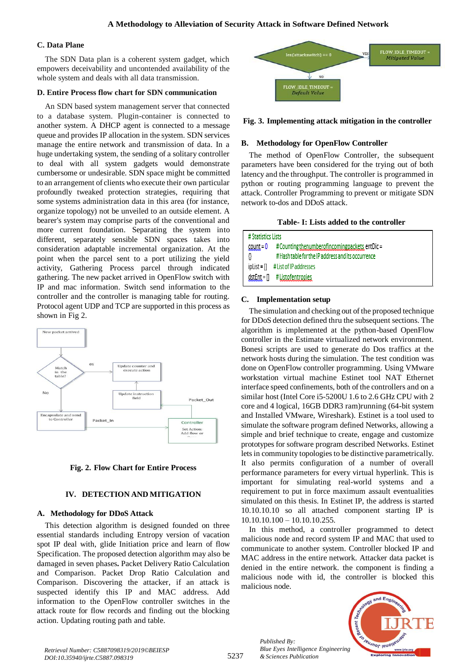## **C. Data Plane**

The SDN Data plan is a coherent system gadget, which empowers deceivability and uncontended availability of the whole system and deals with all data transmission.

## **D. Entire Process flow chart for SDN communication**

An SDN based system management server that connected to a database system. Plugin-container is connected to another system. A DHCP agent is connected to a message queue and provides IP allocation in the system. SDN services manage the entire network and transmission of data. In a huge undertaking system, the sending of a solitary controller to deal with all system gadgets would demonstrate cumbersome or undesirable. SDN space might be committed to an arrangement of clients who execute their own particular profoundly tweaked protection strategies, requiring that some systems administration data in this area (for instance, organize topology) not be unveiled to an outside element. A bearer's system may comprise parts of the conventional and more current foundation. Separating the system into different, separately sensible SDN spaces takes into consideration adaptable incremental organization. At the point when the parcel sent to a port utilizing the yield activity, Gathering Process parcel through indicated gathering. The new packet arrived in OpenFlow switch with IP and mac information. Switch send information to the controller and the controller is managing table for routing. Protocol agent UDP and TCP are supported in this process as shown in Fig 2.





# **IV. DETECTION AND MITIGATION**

# **A. Methodology for DDoS Attack**

This detection algorithm is designed founded on three essential standards including Entropy version of vacation spot IP deal with, glide Initiation price and learn of flow Specification. The proposed detection algorithm may also be damaged in seven phases**.** Packet Delivery Ratio Calculation and Comparison. Packet Drop Ratio Calculation and Comparison. Discovering the attacker, if an attack is suspected identify this IP and MAC address. Add information to the OpenFlow controller switches in the attack route for flow records and finding out the blocking action. Updating routing path and table.



**Fig. 3. Implementing attack mitigation in the controller**

## **B. Methodology for OpenFlow Controller**

The method of OpenFlow Controller, the subsequent parameters have been considered for the trying out of both latency and the throughput. The controller is programmed in python or routing programming language to prevent the attack. Controller Programming to prevent or mitigate SDN network to-dos and DDoS attack.

| Table- I: Lists added to the controller |
|-----------------------------------------|
|-----------------------------------------|

| # Statistics Lists |                                                      |
|--------------------|------------------------------------------------------|
| <u>count</u> = 0   | # Counting the number of incoming packets, ent Dic = |
|                    | #Hash table for the IP address and its occurrence    |
|                    | ipList = [] # List of IP addresses                   |
|                    | $distEnt = []$ # Listofentropies                     |

## **C. Implementation setup**

The simulation and checking out of the proposed technique for DDoS detection defined thru the subsequent sections. The algorithm is implemented at the python-based OpenFlow controller in the Estimate virtualized network environment. Bonesi scripts are used to generate do Dos traffics at the network hosts during the simulation. The test condition was done on OpenFlow controller programming. Using VMware workstation virtual machine Estinet tool NAT Ethernet interface speed confinements, both of the controllers and on a similar host (Intel Core i5-5200U 1.6 to 2.6 GHz CPU with 2 core and 4 logical, 16GB DDR3 ram)running (64-bit system and Installed VMware, Wireshark). Estinet is a tool used to simulate the software program defined Networks, allowing a simple and brief technique to create, engage and customize prototypes for software program described Networks. Estinet lets in community topologies to be distinctive parametrically. It also permits configuration of a number of overall performance parameters for every virtual hyperlink. This is important for simulating real-world systems and a requirement to put in force maximum assault eventualities simulated on this thesis. In Estinet IP, the address is started 10.10.10.10 so all attached component starting IP is 10.10.10.100 – 10.10.10.255.

In this method, a controller programmed to detect malicious node and record system IP and MAC that used to communicate to another system. Controller blocked IP and MAC address in the entire network. Attacker data packet is denied in the entire network. the component is finding a malicious node with id, the controller is blocked this malicious node.



*Retrieval Number: C5887098319/2019©BEIESP DOI:10.35940/ijrte.C5887.098319*

*Published By:*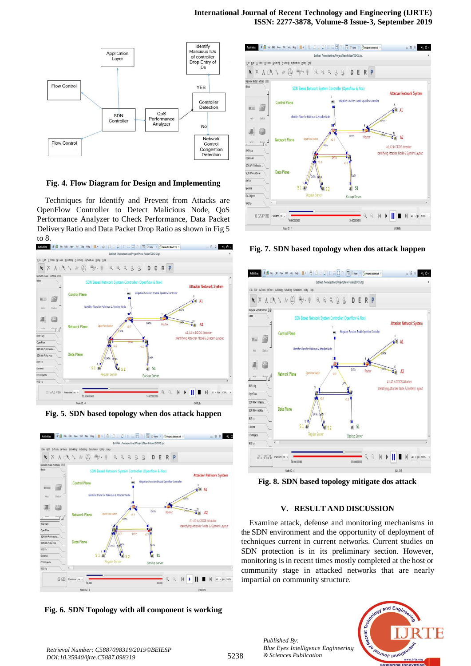#### **International Journal of Recent Technology and Engineering (IJRTE) ISSN: 2277-3878, Volume-8 Issue-3, September 2019**



**Fig. 4. Flow Diagram for Design and Implementing**

Techniques for Identify and Prevent from Attacks are OpenFlow Controller to Detect Malicious Node, QoS Performance Analyzer to Check Performance, Data Packet DeliveryRatio and Data Packet Drop Ratio as shown in Fig 5 to 8.



**Fig. 5. SDN based topology when dos attack happen**



**Fig. 6. SDN Topology with all component is working**



#### **Fig. 7. SDN based topology when dos attack happen**



**Fig. 8. SDN based topology mitigate dos attack**

#### **V. RESULT AND DISCUSSION**

Examine attack, defense and monitoring mechanisms in the SDN environment and the opportunity of deployment of techniques current in current networks. Current studies on SDN protection is in its preliminary section. However, monitoring is in recent times mostly completed at the host or community stage in attacked networks that are nearly impartial on community structure.



*Retrieval Number: C5887098319/2019©BEIESP DOI:10.35940/ijrte.C5887.098319*

*Published By:*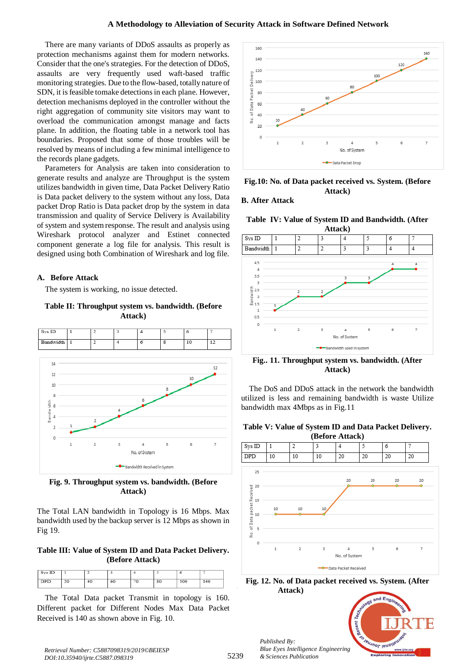There are many variants of DDoS assaults as properly as protection mechanisms against them for modern networks. Consider that the one's strategies. For the detection of DDoS, assaults are very frequently used waft-based traffic monitoring strategies. Due to the flow-based, totally nature of SDN, it is feasible tomake detections in each plane. However, detection mechanisms deployed in the controller without the right aggregation of community site visitors may want to overload the communication amongst manage and facts plane. In addition, the floating table in a network tool has boundaries. Proposed that some of those troubles will be resolved by means of including a few minimal intelligence to the records plane gadgets.

Parameters for Analysis are taken into consideration to generate results and analyze are Throughput is the system utilizes bandwidth in given time, Data Packet Delivery Ratio is Data packet delivery to the system without any loss, Data packet Drop Ratio is Data packet drop by the system in data transmission and quality of Service Delivery is Availability of system and system response. The result and analysis using Wireshark protocol analyzer and Estinet connected component generate a log file for analysis. This result is designed using both Combination of Wireshark and log file.

## **A. Before Attack**

The system is working, no issue detected.

**Table II: Throughput system vs. bandwidth. (Before Attack)**



**Fig. 9. Throughput system vs. bandwidth. (Before Attack)**

The Total LAN bandwidth in Topology is 16 Mbps. Max bandwidth used by the backup server is 12 Mbps as shown in Fig 19.

## **Table III: Value of System ID and Data Packet Delivery. (Before Attack)**

| Sys ID     |    |    |    |    |    |     |     |
|------------|----|----|----|----|----|-----|-----|
| <b>DPD</b> | 20 | 40 | 60 | 70 | 80 | 100 | 140 |

The Total Data packet Transmit in topology is 160. Different packet for Different Nodes Max Data Packet Received is 140 as shown above in Fig. 10.



**Fig.10: No. of Data packet received vs. System. (Before Attack)**

## **B. After Attack**

**Table IV: Value of System ID and Bandwidth. (After** 



**Fig.. 11. Throughput system vs. bandwidth. (After Attack)**

The DoS and DDoS attack in the network the bandwidth utilized is less and remaining bandwidth is waste Utilize bandwidth max 4Mbps as in Fig.11

### **Table V: Value of System ID and Data Packet Delivery.**



**Fig. 12. No. of Data packet received vs. System. (After Attack)**



*Retrieval Number: C5887098319/2019©BEIESP DOI:10.35940/ijrte.C5887.098319*

*Published By:*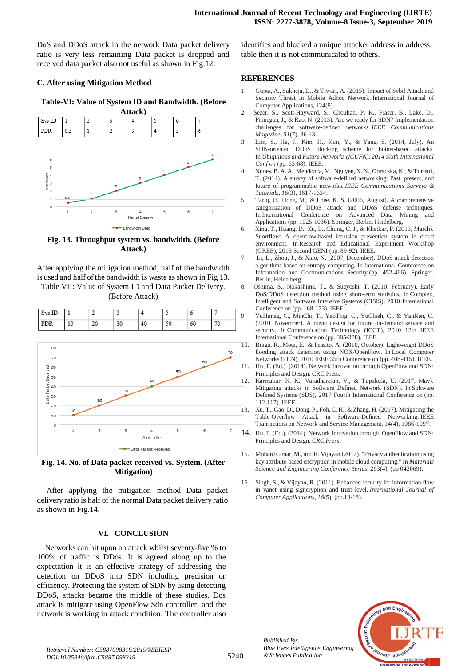DoS and DDoS attack in the network Data packet delivery ratio is very less remaining Data packet is dropped and received data packet also not useful as shown in Fig.12.

## **C. After using Mitigation Method**

**Table-VI: Value of System ID and Bandwidth. (Before** 



**Fig. 13. Throughput system vs. bandwidth. (Before Attack)**

After applying the mitigation method, half of the bandwidth is used and half of the bandwidth is waste as shown in Fig 13. Table VII: Value of System ID and Data Packet Delivery.

(Before Attack)

| Sys ID |    |    |    |    |          | v  |    | C<br>╯ |
|--------|----|----|----|----|----------|----|----|--------|
| D      | 10 | 20 | 30 | 40 | 50<br>∍⊍ | 60 | 70 |        |



**Fig. 14. No. of Data packet received vs. System. (After Mitigation)**

After applying the mitigation method Data packet delivery ratio is half of the normal Data packet delivery ratio as shown in Fig.14.

#### **VI. CONCLUSION**

Networks can hit upon an attack whilst seventy-five % to 100% of traffic is DDos. It is agreed along up to the expectation it is an effective strategy of addressing the detection on DDoS into SDN including precision or efficiency. Protecting the system of SDN by using detecting DDoS, attacks became the middle of these studies. Dos attack is mitigate using OpenFlow Sdn controller, and the network is working in attack condition. The controller also

identifies and blocked a unique attacker address in address table then it is not communicated to others.

#### **REFERENCES**

- 1. Gupta, A., Sukheja, D., & Tiwari, A. (2015). Impact of Sybil Attack and Security Threat in Mobile Adhoc Network. International Journal of Computer Applications, 124(9).
- 2. Sezer, S., Scott-Hayward, S., Chouhan, P. K., Fraser, B., Lake, D., Finnegan, J., & Rao, N. (2013). Are we ready for SDN? Implementation challenges for software-defined networks. *IEEE Communications Magazine*, *51*(7), 36-43.
- 3. Lim, S., Ha, J., Kim, H., Kim, Y., & Yang, S. (2014, July). An SDN-oriented DDoS blocking scheme for botnet-based attacks. In *Ubiquitous and Future Networks (ICUFN), 2014 Sixth International Conf on* (pp. 63-68). IEEE.
- 4. Nunes, B. A. A., Mendonca, M., Nguyen, X. N., Obraczka, K., & Turletti, T. (2014). A survey of software-defined networking: Past, present, and future of programmable networks. *IEEE Communications Surveys & Tutorials*, *16*(3), 1617-1634.
- 5. Tariq, U., Hong, M., & Lhee, K. S. (2006, August). A comprehensive categorization of DDoS attack and DDoS defense techniques. In International Conference on Advanced Data Mining and Applications (pp. 1025-1036). Springer, Berlin, Heidelberg.
- 6. Xing, T., Huang, D., Xu, L., Chung, C. J., & Khatkar, P. (2013, March). Snortflow: A openflow-based intrusion prevention system in cloud environment. In Research and Educational Experiment Workshop (GREE), 2013 Second GENI (pp. 89-92). IEEE.
- 7. Li, L., Zhou, J., & Xiao, N. (2007, December). DDoS attack detection algorithms based on entropy computing. In International Conference on Information and Communications Security (pp. 452-466). Springer, Berlin, Heidelberg.
- 8. Oshima, S., Nakashima, T., & Sueyoshi, T. (2010, February). Early DoS/DDoS detection method using short-term statistics. In Complex, Intelligent and Software Intensive Systems (CISIS), 2010 International Conference on (pp. 168-173). IEEE.
	- 9. YuHunag, C., MinChi, T., YaoTing, C., YuChieh, C., & YanRen, C. (2010, November). A novel design for future on-demand service and security. In Communication Technology (ICCT), 2010 12th IEEE International Conference on (pp. 385-388). IEEE.
- 10. Braga, R., Mota, E., & Passito, A. (2010, October). Lightweight DDoS flooding attack detection using NOX/OpenFlow. In Local Computer Networks (LCN), 2010 IEEE 35th Conference on (pp. 408-415). IEEE. 11. Hu, F. (Ed.). (2014). Network Innovation through OpenFlow and SDN: Principles and Design. CRC Press.
- 12. Karmakar, K. K., Varadharajan, V., & Tupakula, U. (2017, May). Mitigating attacks in Software Defined Network (SDN). In Software Defined Systems (SDS), 2017 Fourth International Conference on (pp. 112-117). IEEE.
- 13. Xu, T., Gao, D., Dong, P., Foh, C. H., & Zhang, H. (2017). Mitigating the Table-Overflow Attack in Software-Defined Networking. IEEE Transactions on Network and Service Management, 14(4), 1086-1097.
- 14. Hu, F. (Ed.). (2014). Network Innovation through OpenFlow and SDN: Principles and Design. *CRC Press*.
- 15. Mohan Kumar, M., and R. Vijayan.(2017). "Privacy authentication using key attribute-based encryption in mobile cloud computing." In *Materials Science and Engineering Conference Series*, 263(4), (pp 042069).
- 16. Singh, S., & Vijayan, R. (2011). Enhanced security for information flow in vanet using signcryption and trust level. *International Journal of Computer Applications*, *16*(5), (pp.13-18).



*Retrieval Number: C5887098319/2019©BEIESP DOI:10.35940/ijrte.C5887.098319*

*Published By:*